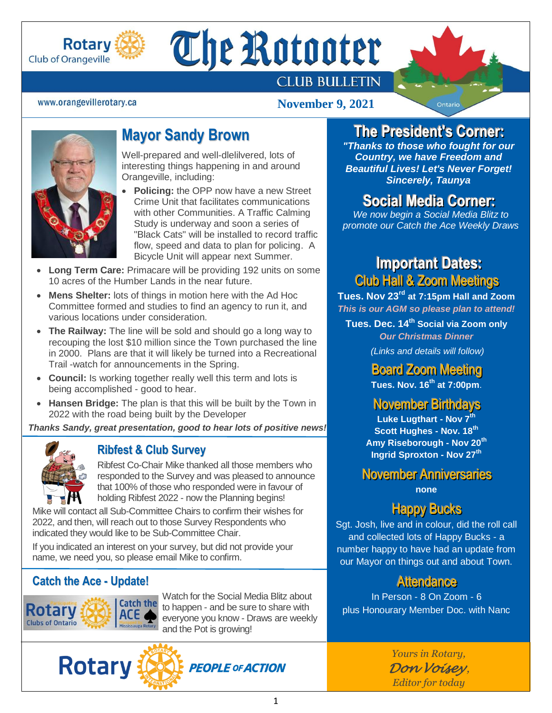

# The Rotooter

## **CLUB BULLETIN**

#### www.orangevillerotary.ca

#### **November 9, 2021**



- **Policing:** the OPP now have a new Street Crime Unit that facilitates communications with other Communities. A Traffic Calming Study is underway and soon a series of "Black Cats" will be installed to record traffic flow, speed and data to plan for policing. A Bicycle Unit will appear next Summer.
- **Long Term Care:** Primacare will be providing 192 units on some 10 acres of the Humber Lands in the near future.
- **Mens Shelter:** lots of things in motion here with the Ad Hoc Committee formed and studies to find an agency to run it, and various locations under consideration.
- **The Railway:** The line will be sold and should go a long way to recouping the lost \$10 million since the Town purchased the line in 2000. Plans are that it will likely be turned into a Recreational Trail -watch for announcements in the Spring.
- **Council:** Is working together really well this term and lots is being accomplished - good to hear.
- **Hansen Bridge:** The plan is that this will be built by the Town in 2022 with the road being built by the Developer

*Thanks Sandy, great presentation, good to hear lots of positive news!*



#### **Ribfest & Club Survey**

Ribfest Co-Chair Mike thanked all those members who responded to the Survey and was pleased to announce that 100% of those who responded were in favour of holding Ribfest 2022 - now the Planning begins!

Mike will contact all Sub-Committee Chairs to confirm their wishes for 2022, and then, will reach out to those Survey Respondents who indicated they would like to be Sub-Committee Chair.

If you indicated an interest on your survey, but did not provide your name, we need you, so please email Mike to confirm.

#### **Catch the Ace - Update!**



**Rotary** 

Watch for the Social Media Blitz about to happen - and be sure to share with everyone you know - Draws are weekly and the Pot is growing!

**PEOPLE OF ACTION** 



November Anniversaries

**none**

## Happy Bucks

Sgt. Josh, live and in colour, did the roll call and collected lots of Happy Bucks - a number happy to have had an update from our Mayor on things out and about Town.

#### **Attendance**

In Person - 8 On Zoom - 6 plus Honourary Member Doc. with Nanc

> *Yours in Rotary, Don Voisey , Editor for today*

# **The Presiident' '**

 **s Corner::** *"Thanks to those who fought for our Country, we have Freedom and Beautiful Lives! Let's Never Forget! Sincerely, Taunya*

## **Social Media Corner:**

*We now begin a Social Media Blitz to promote our Catch the Ace Weekly Draws*

## **IImportant Dates::** Club Hall & Zoom Meetings

**Tues. Nov 23rd at 7:15pm Hall and Zoom** *This is our AGM so please plan to attend!*

**Tues. Dec. 14th Social via Zoom only** *Our Christmas Dinner (Links and details will follow)*

> **Board Zoom Meeting Tues. Nov. 16 th at 7:00pm**.

November Birthdays

**Luke Lugthart - Nov 7th Scott Hughes - Nov. 18th Amy Riseborough - Nov 20th Ingrid Sproxton - Nov 27th**